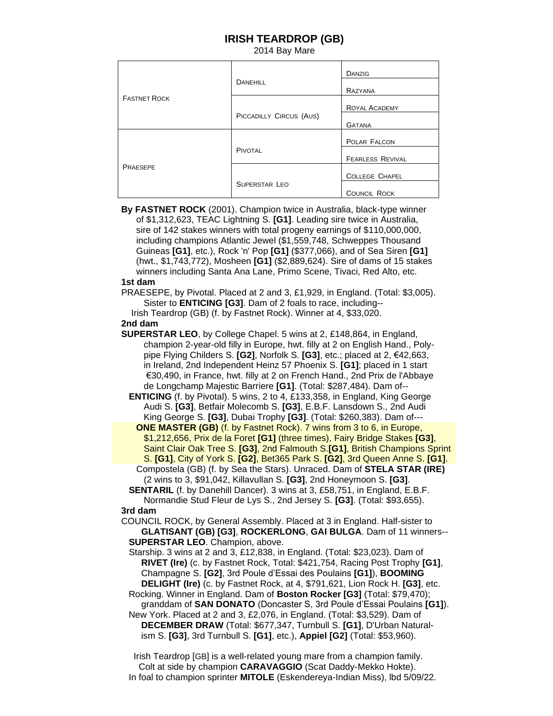## **IRISH TEARDROP (GB)**

2014 Bay Mare

| <b>FASTNET ROCK</b> | <b>DANEHILL</b>         | <b>DANZIG</b>           |
|---------------------|-------------------------|-------------------------|
|                     |                         | RAZYANA                 |
|                     |                         | <b>ROYAL ACADEMY</b>    |
|                     | PICCADILLY CIRCUS (AUS) | <b>GATANA</b>           |
| PRAESEPE            | PIVOTAL                 | POLAR FALCON            |
|                     |                         | <b>FEARLESS REVIVAL</b> |
|                     |                         | <b>COLLEGE CHAPEL</b>   |
|                     | <b>SUPERSTAR LEO</b>    |                         |
|                     |                         | <b>COUNCIL ROCK</b>     |

 **By FASTNET ROCK** (2001). Champion twice in Australia, black-type winner of \$1,312,623, TEAC Lightning S. **[G1]**. Leading sire twice in Australia, sire of 142 stakes winners with total progeny earnings of \$110,000,000, including champions Atlantic Jewel (\$1,559,748, Schweppes Thousand Guineas **[G1]**, etc.), Rock 'n' Pop **[G1]** (\$377,066), and of Sea Siren **[G1]**  (hwt., \$1,743,772), Mosheen **[G1]** (\$2,889,624). Sire of dams of 15 stakes winners including Santa Ana Lane, Primo Scene, Tivaci, Red Alto, etc.

## **1st dam**

 PRAESEPE, by Pivotal. Placed at 2 and 3, £1,929, in England. (Total: \$3,005). Sister to **ENTICING [G3]**. Dam of 2 foals to race, including-- Irish Teardrop (GB) (f. by Fastnet Rock). Winner at 4, \$33,020.

## **2nd dam**

 **SUPERSTAR LEO**, by College Chapel. 5 wins at 2, £148,864, in England, champion 2-year-old filly in Europe, hwt. filly at 2 on English Hand., Poly pipe Flying Childers S. **[G2]**, Norfolk S. **[G3]**, etc.; placed at 2, €42,663, in Ireland, 2nd Independent Heinz 57 Phoenix S. **[G1]**; placed in 1 start €30,490, in France, hwt. filly at 2 on French Hand., 2nd Prix de l'Abbaye de Longchamp Majestic Barriere **[G1]**. (Total: \$287,484). Dam of--

 **ENTICING** (f. by Pivotal). 5 wins, 2 to 4, £133,358, in England, King George Audi S. **[G3]**, Betfair Molecomb S. **[G3]**, E.B.F. Lansdown S., 2nd Audi King George S. **[G3]**, Dubai Trophy **[G3]**. (Total: \$260,383). Dam of---

 **ONE MASTER (GB)** (f. by Fastnet Rock). 7 wins from 3 to 6, in Europe, \$1,212,656, Prix de la Foret **[G1]** (three times), Fairy Bridge Stakes **[G3]**, Saint Clair Oak Tree S. **[G3]**, 2nd Falmouth S.**[G1]**, British Champions Sprint S. **[G1]**, City of York S. **[G2]**, Bet365 Park S. **[G2]**, 3rd Queen Anne S. **[G1]**. Compostela (GB) (f. by Sea the Stars). Unraced. Dam of **STELA STAR (IRE)** (2 wins to 3, \$91,042, Killavullan S. **[G3]**, 2nd Honeymoon S. **[G3]**.

 **SENTARIL** (f. by Danehill Dancer). 3 wins at 3, £58,751, in England, E.B.F. Normandie Stud Fleur de Lys S., 2nd Jersey S. **[G3]**. (Total: \$93,655). **3rd dam**

 COUNCIL ROCK, by General Assembly. Placed at 3 in England. Half-sister to  **GLATISANT (GB) [G3]**, **ROCKERLONG**, **GAI BULGA**. Dam of 11 winners-- **SUPERSTAR LEO**. Champion, above.

 Starship. 3 wins at 2 and 3, £12,838, in England. (Total: \$23,023). Dam of **RIVET (Ire)** (c. by Fastnet Rock, Total: \$421,754, Racing Post Trophy **[G1]**, Champagne S. **[G2]**, 3rd Poule d'Essai des Poulains **[G1]**), **BOOMING DELIGHT (Ire)** (c. by Fastnet Rock, at 4, \$791,621, Lion Rock H. **[G3]**, etc.

 Rocking. Winner in England. Dam of **Boston Rocker [G3]** (Total: \$79,470); granddam of **SAN DONATO** (Doncaster S, 3rd Poule d'Essai Poulains **[G1]**).

 New York. Placed at 2 and 3, £2,076, in England. (Total: \$3,529). Dam of  **DECEMBER DRAW** (Total: \$677,347, Turnbull S. **[G1]**, D'Urban Natural ism S. **[G3]**, 3rd Turnbull S. **[G1]**, etc.), **Appiel [G2]** (Total: \$53,960).

 Irish Teardrop [GB] is a well-related young mare from a champion family. Colt at side by champion **CARAVAGGIO** (Scat Daddy-Mekko Hokte). In foal to champion sprinter **MITOLE** (Eskendereya-Indian Miss), lbd 5/09/22.